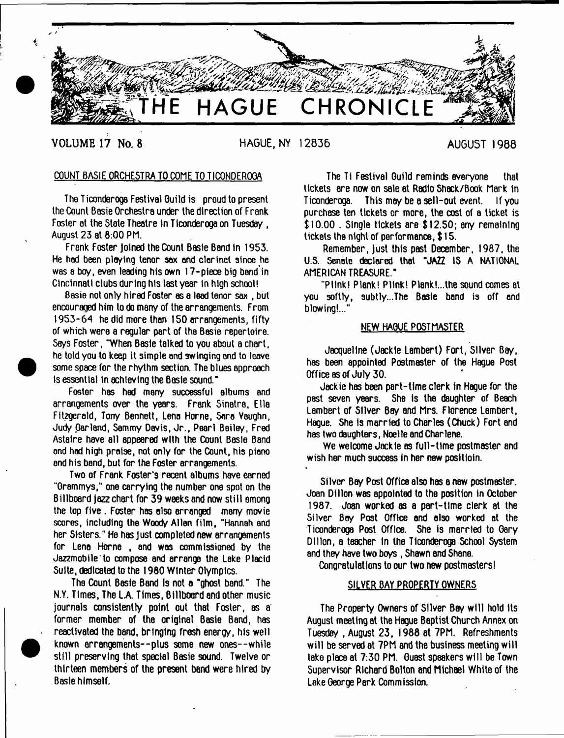

**VOLUME 17 No. 8 HAGUE, NY 12836** AUGUST 1988

# COUNT BASIE ORCHESTRA TO COME TO TICONDEROGA

The Ticonderoga Festival Guild is proud to present the Count Basie Orchestra under the direction of Frank Foster at the State Theatre in Ticonderoga on Tuesday, August 23 at 8:00 PM.

Frank Foster Joined the Count Basle Band In 1953. He hod been playing tenor 30x end clarinet since he was a boy, even leading his own 17-piece big band in Cincinnati clubs during his last year in high school!

Basie not only hired Foster as a lead tenor sax , but encouraged him to do many of the arrangements. From 1953-64 he did more than 150 arrangements, fifty of which were a regular part of the Basie repertoire. Says Foster, "When Basie talked to you about a chart, he told you to keep it simple and swinging and to leave some space for the rhythm section. The blues approach is essential in achieving the Basie sound."

Foster has had many successful albums end arrangements over the years. Frank Sinatra, Ella Fitzgerald, Tony Bennett, Lena Horne, Sara Vaughn, Judy Parland, Sammy Davis, Jr., Pearl Bailey, Fred Astaire have all appeared with the Count Basle Bond and hod high praise, not only for the Count, his piano and his band, but for the Foster arrangements.

Two of Frank Foster's recent albums have earned "Grammys," one carrying the number one spot on the Billboard jazz chart for 39 weeks and now still among the top five . Foster has also arranged many movie scores, including the Woody Allen film, "Hannah and her Sisters." He has Just completed new arrangements for Lena Horne , and was commissioned by the Jazzmobile to compose and arrange the Lake Placid Suite, dedicated to the 1980 Winter Olympics.

The Count Basie Band is not a "ghost band." The N.Y. Times, The LA Times, Billboard and other music journals consistently point out that Foster, as a former member of the original Basie Band, has reactivated the band, bringing fresh energy, his well known arrangements--plus some new ones--while still preserving that special Basie sound. Twelve or thirteen members of the present band were hired by Basie himself.

The Ti Festival Guild reminds everyone that tickets are now on sale at Radio Shack/Book Mark in Ticonderoga. This may be a sell-out event. If you purchase ten tickets or more, the cost of a ticket is \$10.00 . Single tickets are \$12.50; any remaining tickets the night of performance, \$ 15.

Remember, just this past December, 1987, the U.S. Senate declared that "JAZZ IS A NATIONAL AMERICAN TREASURE."

"PHnk! Plank! Pllnk! Plank!...the sound comes at you softly, subtly...The Basie bond i3 off and blowing!..."

### NEW HAGUE POSTMASTER

Jacqueline (Jackie Lambert) Fort, Silver Bay, has been appointed Postmaster of the Hague Post Office as of July 30.

Jackie has been part-time clerk in Hague for the past seven years. She is the daughter of Beach Lambert of Silver Bay and Mrs. Florence Lambert, Hague. She is married to Charles (Chuck) Fort and has two daughters, Noelle and Charlene.

We welcome Jackie as full-time postmaster and wish her much success in her new positioin.

Silver Bay Post Office also has a new postmaster. Joan Dillon was appointed to the position in October 1987. Joan worked as a part-time clerk at the Silver Bay Post Office and also worked at the Ticonderoga Post Office. She is married to Gary Dillon, a teacher in the Ticonderoga School System and they have two boys, Shawn and Shana.

Congratulations to our two new postmasters!

### SILVER BAY PROPERTY OWNERS

The Property Owners of Silver Bay will hold Its August meeting at the Hague Baptist Church Annex on Tuesday , August 23, 1988 at 7PM. Refreshments will be served at 7PM and the business meeting will lake place at 7:30 PM. Guest speakers will be Town Supervisor Richard Bolton and Michael White of the Lake George Park Comm ission.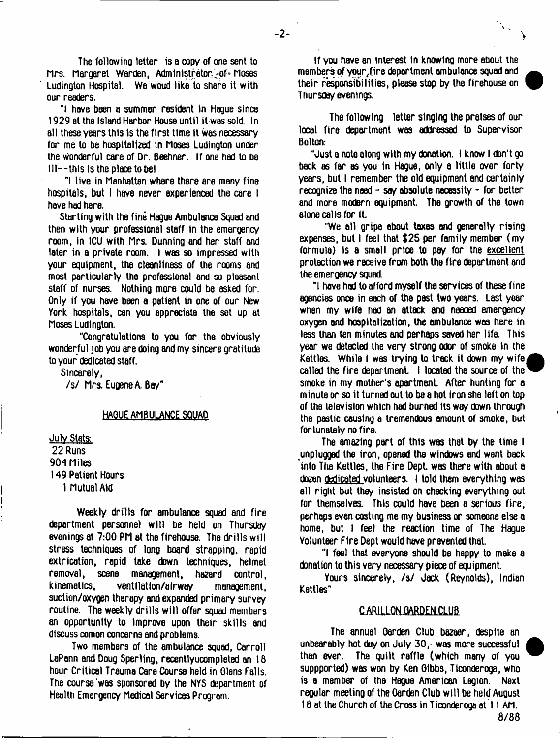The followino letter is a copy of one sent to Mrs. Margaret Warden, Administrator of Moses Ludington Hospital. We woud like to share it with our readers.

ul have been a summer resident in Hague since 1929 at the Island Harbor House until it was sold In all these years this Is the first time It was necessary for me to be hospitalized in Moses Ludington under the wonderful care of Or. Beehner. If one had to be  $111 - 1$  this is the place to be!

"I live in Manhattan where there are many fine hospitals, but I have never experienced the care I have had here.

Starting with the fine Hague Ambulance Squad and then with your professional staff In the emergency room, in 1CU with Mrs. Dunning and her staff and later in a private room. I was so impressed with your equipment, the cleanliness of the rooms and most particularly the professional and so pleasant staff of nurses. Nothing more could be asked for. Only if you have been a patient in one of our New York hospitals, can you appreciate the set up at Moses Ludington.

"Congratulations to you for the obviously wonderful job you ere doing and my sincere gratitude to your dedicated staff.

Sincerely,

/s/ Mrs. Eugene A. Bay"

# HAGUE AMBULANCE SQUAD

July Stats: 22 Runs 904 Miles 149 Patient Hours

1 Mutual Aid

Weekly drills for ambulance squad and fire department personnel will be held on Thursday evenings at 7:00 PM at the firehouse. The drills will stress techniques of long board strapping, rapid extrication, rapid take down techniques, helmet removal, scene management, hazard control, kinematics, ventllatlon/alrway management, suction/oxygen therapy and expanded primary survey routine. The weekly drills will offer squad members an opportunity to Improve upon their skills and discuss comon concerns end problems.

Two members of the ambulance squad, Carroll LaPann and Doug Sperling, recentlyucompleted an 18 hour Critical Treuma Care Course held in Olens Falls. The course was sponsored by the NYS department of Health Emergency Medical Services Program.

if you have an interest in knowing more about the members of your^fire deportment ambulance squad and their responsibilities, please stop by the firehouse on Thursday evenings.

 $\sqrt{2}$ 

**>**

The following letter singing the praises of our local fire department was addressed to Supervisor Bolton:

"Just a note along with my donation. I know I don't go back as far as you in Hague, only a little over forty years, but I remember the old equipment and certainly recognize the need - say absolute necessity  $\sim$  for better end more modern equipment. The growth of the town alone calls for It.

"We all gripe about taxes and generally rising expenses, but I feel that \$25 per family member (my formula) Is a small price to pay for the excellent protection we receive from both the fire department and the emergency squad.

"I have had to afford myself the servioes of these fine agencies once in each of the past two years. Last year when my wife had an attack and needed emergency oxygen and hospitalization, the ambulance was here in less than ten minutes and perhaps saved her life. This year we detected the very strong odor of smoke in the Kettles. While I was trying to track it down my wife called the fire department. I located the source of the  $\overline{ }$ smoke in my mother's apartment. After hunting for a minute or so it turned out to be a hot iron she left on top of the television which had burned Its way down through the pastic causing a tremendous amount of smoke, but fortunately no fire.

The amazing part of this was that by the time I unplugged the iron, opened the windows end went back into The Kettles, the Fire Dept, was there with about a dozen dedicated volunteers. 1 told them everything was all right but they insisted on checking everything out for themselves. This could have been a serious fire, perhaps even costing me my business or someone else a home, but I feel the reaction time of The Hague Volunteer Fire Dept would have prevented that.

"I feel that everyone should be heppy to make a donation to this very necessary piece of equipment.

Yours sincerely, /s/ Jack (Reynolds), Indian Kettles"

## **CARILLON QARDEN.CLUB**

The annual Garden Club bazaar, desptte an unbearably hot day on July 30, was more successful than ever. The quilt raffle (which many of you suppported) was won by Ken Gibbs, Itconderoga, who is a member of the Hague American Legion. Next reoular meeting of the Garden Club will be held Auoust 16 at the Church of the Cross in Ticonderoga at 11 AM.

8/88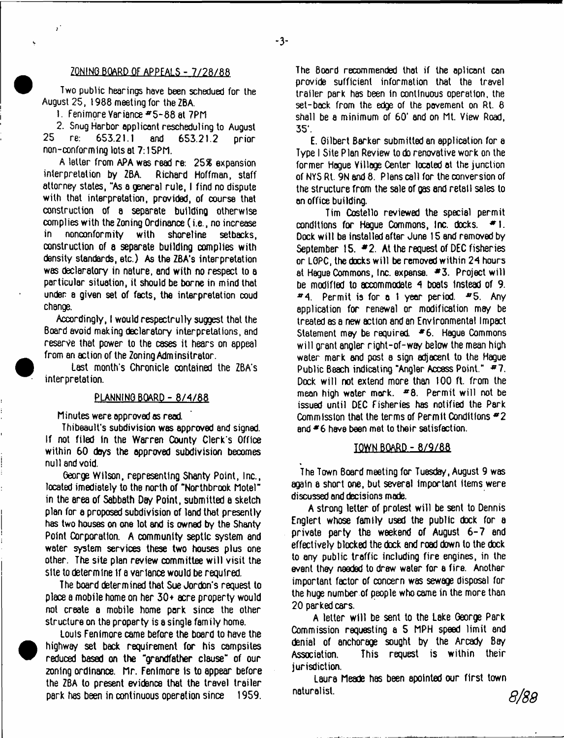### ZQNINQ BOARD OF APPFAI.S - 7/28/88

Two public hearings have been schedued for the August 25, 1988 meeting for the ZBA.

1. Fenimore Variance #5-88 at 7PM

**;**

2. Snug Harbor applicant rescheduling to August 25 re: 653.21.1 and 653.21.2 prior non-conforming lots at 7:15Pf1.

A letter from APA was read re: 25% expansion interpretation by ZBA. Richard Hoffman, staff attorney states, "As a general rule, I find no dispute with that interpretation, provided, of course that construction of a separate building otherwise complies with the Zoning Ordinance (i.e., no increase in nonconformity with shoreline setbacks, construction of a separate building complies with density standards, etc.) As the ZBA's interpretation was declaratory in nature, end with no respect to a particular situation, it should be borne in mind that under a given set of facts, the interpretation coud change.

Accordingly, I would respectrully suggest that the Board avoid making declaratory interpretations, and reserve that power to the cases it hears on appeal from an action of the Zoning Adminsitretor.

Last month's Chronicle contained the ZBA's interpretation.

## PLANNING BOARD - 8/4/88

Minutes were approved as read.

Thibeault's subdivision was approved and signed. If not filed in the Warren County Clerk's Office within 60 days the approved subdivision becomes null and void.

George Wilson, representing Shanty Point, Inc., located imediately to the north of "Northbrook Motel" in the area of Sabbath Day Point, submitted a sketch plan for a proposed subdivision of land that presently has two houses on one lot and is owned by the Shanty Point Corporation. A community septic system and water system services these two houses plus one other. The site plan review committee w ill visit the site to determine if a variance would be required.

The board determined that Sue Jordon's request to place a mobile home on her 30+ acre property would not create a mobile home park since the other structure on the property is a single family home.

Louis Fenimore came before the board to have the highway set back requirement for his campsites reduced based on the "grandfather clause" of our zoning ordinance. Mr. Fenimore is to appear before the ZBA to present evidence that the travel trailer park has been in continuous operation since 1959.

The Board recommended that if the aplicant can provide sufficient information that the travel trailer park has been In continuous operation, the set-back from the edge of the pavement on Rt. 8 shall be a minimum of 60' and on Mt. View Road, 35\*.

E. Gilbert Barker submitted an application for a Type I Site Plan Review to do renovative work on the former Hague Village Center located at the junction of NVS Rt. 9N and 8. Plans call for the conversion of the structure from the sale of gas and retail sales to an office building.

Tim Costello reviewed the special permit conditions for Hague Commons, Inc. docks. \*1. Dock will be installed after June 15 and removed by September 15.  $*2$ . At the request of DEC fisheries or LGPC, the docks will be removed within 24 hours. at Hague Commons, Inc. expense. # 3. Project w ill be modified to accommodate 4 boats instead of 9. \*4. Permit is for a t year period. "5 . Any application for renewal or modification may be treated as a new action and an Environmental Impact Statement may be required. #6. Hague Commons will grant angler right-of-way below the mean high water mark and post a sign adjacent to the Hague Public Beach indicating "Angler Access Point." #7. Dock will not extend more than 100 ft. from the mean high water mark.  $=8$ . Permit will not be issued until DEC Fisheries has notified the Park Commission that the terms of Permit Conditions *\*2* and  $*6$  have been met to their satisfaction.

#### TOWN BOARD - 8/9/86

The Town Board meeting for Tuesday, August 9 was again a short one, but several important items were discussed and decisions made.

A strong letter of protest will be sent to Dennis Englert whose family used the public dock for a private party the weekend of August 6-7 end effectively blacked the dack and road down to the dack to any public traffic including fire engines, in the event they needed to draw water for a fire. Another important factor of concern was sewage disposal for the huge number of people who came in the more than 20 parked cars.

A letter will be sent to the Lake George Park Commission requesting a 5 MPH speed limit and denial of anchorage sought by the Arcady Bay Association. This request is within their jurisdiction.

Laura Meade has been apointed our first town naturalist. *g /g g*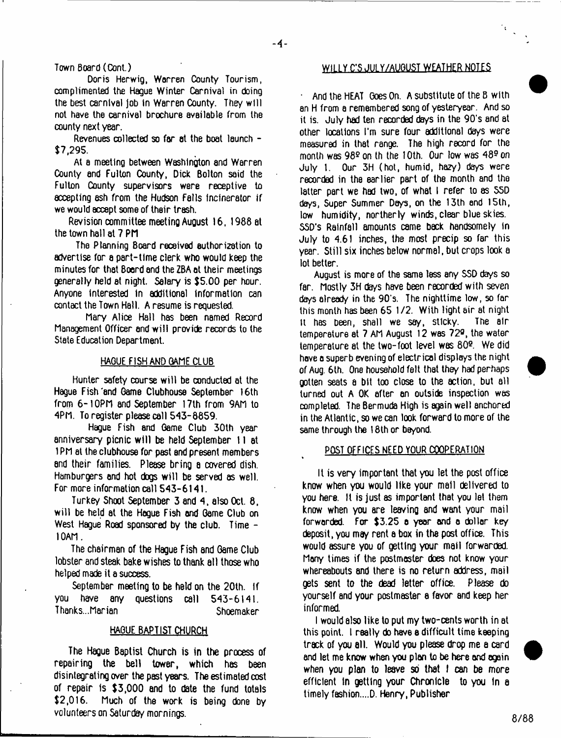Town Board (Cont.)

Doris Herwig, Warren County Tourism, complimented the Hague Winter Carnival in doing the best carnival job in Warren County. They will not have the carnival brochure available from the county next year.

Revenues collected so far at the boat launch - \$7,295.

At a meeting between Washington and Warren County end Fulton County, Dick Bolton said the Fulton County supervisors were receptive to accepting ash from the Hudson Falls incinerator if we would accept some of their trash.

Revision committee meeting August 16, 1988 at the town hall at 7 PM

The Planning Board received authorization to advertise for a part-time clerk who would keep the minutes for that Board end the ZBA at their meetings generally held at night. Salary is \$5.00 per hour. Anyone interested In additional information can contact the Town Hall. A resume is requested.

Mary Alice Hall has been named Record Management Officer and will provide records to the State Education Department.

## HAQUE FISH AND GAME CLUB

Hunter safety course will be conducted at the Hague Fish'and Qame Clubhouse September 16th from 6-1OPM and September 17th from 9AM to 4PM. To register please call 543-8859.

Hague Fish and Game Club 30th year anniversary picnic will be held September 11 at 1 PM at the clubhouse for past and present members and their families. Please bring a covered dish. Hamburgers end hot dogs will be served as well. For more information call 543-6141.

Turkey Shoot September 3 and 4, also Oct. 8, will be held at the Hogue Fish and Game Club on West Hague Road sponsored by the club. Time -10AM.

The chairman of the Hague Fish and Game Club lobster and steak bake wishes to thank all those who helped made it a success.

September meeting to be held on the 20th. If you have any questions call 543-6141. Thanks...Marian Shoemaker

# HAQUE BAPTIST CHURCH

The Hague Baptist Church is in the process of repairing the bell tower, which has been disintegrating over the past years. The estimated cost of repair is \$3,000 and to date the fund totals \$2,016. Much of the work is being done by volunteers on Saturday mornings.

#### WILLY C'S JULY/AUGUST WEATHER NOTES

And the HEAT Goes On. A substitute of the B with an H from a remembered song of yesteryear. And so it is. July had ten recorded days in the 90's and at other locations I'm sure four additional days were measured in that range. The high record for the month was *98e* on th the 10th. Our low was 489 on July 1. Our 3H (hot, humid, hazy) days were recorded in the earlier part of the month and the latter part we had two, of what I refer to as S5D days, Super Summer Days, on the 13th and 15lh, low humidity, northerly winds, clear blue skies. SSD's Rainfall amounts came back handsomely in July to 4.61 inches, the most precip so far this year. Still six inches below normal, but crops look a lot better.

August is more of the same less any SSD darys so far. Mostly 3H days have been recorded with seven days already in the 90's. The nighttime low, so far this month has been 65 1 /2. With light air at night it has been, shall we say, sticky. The air temperature at 7 AM August 12 was 72°, the water temperature at the two-foot level was 802. We did have a superb evening of electrical displays the night of Aug. 6th. One household felt that they had perhaps gotten seats a bit too close to the action, but all turned out A OK after an outside inspection was completed. The Bermuda High is again well anchored in the Atlantic, so we can look forward to more of the same through the 18th or beyond.

#### POST OFFICES NEED YOUR COOPERATION

It is very important that you let the post office know when you would like your mail delivered to you here. It is just as important that you let them know when you are leavinQ and want your mail forwarded. For \$3.25 a year and a dollar key deposit, you may rent a box in the post office. This would assure you of getting your mail forwarded. Many times if the postmaster does not know your whereabouts and there is no return address, mail gets sent to the dead letter office. Please do yourself and your postmaster a favor and keep her informed.

I would also like to put my two-cents worth in at this point. I really do have a difficult time keeping track of you all. Would you please drop me a card and let me know when you plan to be here and again when you plan to leave so that I can be more efficient in getting your Chronicle to you In a timely fashion....D. Henry, Publisher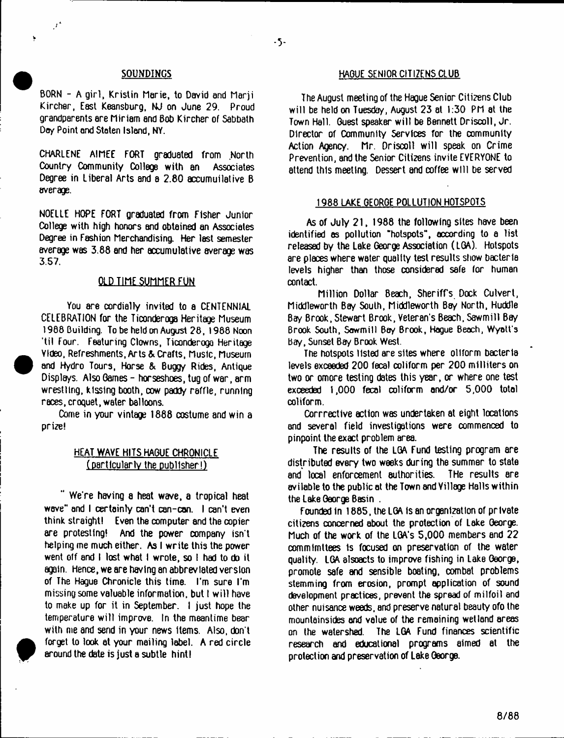#### $-5 -$

 $\mathcal{L}$ 

BORN - A girl, Kristin Marie, to David and Marii Kirchsr, East Keansburg, NJ on June 29. Proud grandparents ere Miriam end Bob Kircher of Sabbath Day Point and Staten Island, NY.

CHARLENE AIMEE FORT graduated from North Country Community College with an Associates Degree in Liberal Arts and a 2.80 accumulative B average.

NOELLE HOPE FORT graduated from Fisher Junior College with high honors and obtained an Associates Degree in Fashion Merchandising. Her lest semester average was 3.88 end her accumulative average was 3.57.

## OLD TIME SUMMER FUN

You are cordially invited to a CENTENNIAL CELEBRATION for the Ticonderoga Heritage Museum 1988 Building. To be held on August 28, 1988 Noon 'til Four. Featuring Clowns, Ticonderoga Heritage Yldeo, Refreshments, Arts & Crafts, Music, Museum and Hydro Tours, Horse & Bugg/ Rides, Antique Displays. Also Qames - horseshoes, tug of war, arm wrestling, kissing booth, cow paddy raffle, running races, croquet, water balloons.

Come in your vintage 1888 costume and win a prize!

# HEAT WAVE HITS HAQUE CHRONICLE (particularIv the publisher!)

We're having a heat wave, a tropical heat wave" and I certainly can't can-con. I can't even think straight! Even the computer and the copier are protesting! And the power company isn't helping me much either. As I write this the power went olf and I lost what I wrote, so I had to do it again. Hence, we are having an abbreviated version of The Hague Chronicle this time. I'm sure I'm missing some valuable information, but I w ill have to make up for it in September. I just hope the temperature will improve. In the meantime bear with me and send in your news items. Also, don't forget to look at your mailing label. A red circle around the date is just a subtle hint!

#### **SOUNDINGS HAGUE SENIOR CITIZENS CLUB**

The August meeting of the Hague Senior Citizens Club will be held on Tuesday, August 23 at 1:30 PM at the Town Hall. Guest speaker will be Bennett Driscoll, Jr. Director of Community Services for the community Action Agency. Mr. Driscoll will speak on Crime Prevention, and the Senior Citizens invite EVERYONE to attend this meeting. Dessert and coffee will be served

#### 1988 LAKE GEORGE POLLUTION HOTSPOTS

As of July 21, 1988 the following sites have been identified as pollution "hotspots", according to a list released by the Lake George Association (LGA). Hotspots are places where water quality test results show bacteria levels higher than those considered safe for human contact.

Million Dollar Beach, Sheriff's Dock Culvert, Middleworth Bay South, Middleworth Bay North, Huddle Bay Brook, Stewart Brook, Veteran's Beach, Sawmill Bay Brook South, Sawmill Bey Brook, Hogue Beach, Wyatt's Bay, Sunset Bay Brook West.

The hotspots listed are sites where oliform bacteria levels exceeded 200 fecal coliform per 200 milliters on two or omore testing dates this year, or where one test exceeded 1,000 fecal coliform and/or 5,000 total coliform.

Corrective action was undertaken at eight locations and several field investigations were commenced to pinpoint the exact problem area.

The results of the LGA Fund testing program are distributed every two weeks during the summer to state and local enforcement authorities. THe results are avliable to the public at the Town and Village Halls within the Lake George Basin .

Founded in 1885, the LGA is an organization of private citizens concerned about the protection of Lake George. Much of the work of the LGA's 5,000 members end 22 commimitiees is focused on preservation of the water quality. LGA alsoacts to improve fishing in Lake George, promote safe and sensible boating, combat problems stemming from erosion, prompt application of sound development practices, prevent the spread of milfoil and other nuisance weeds, and preserve natural beauty ofo the mountainsides end value of the remaining wetland areas on the watershed. The LGA Fund finances scientific research and educational programs aimed at the protection and preservation of Lake George.